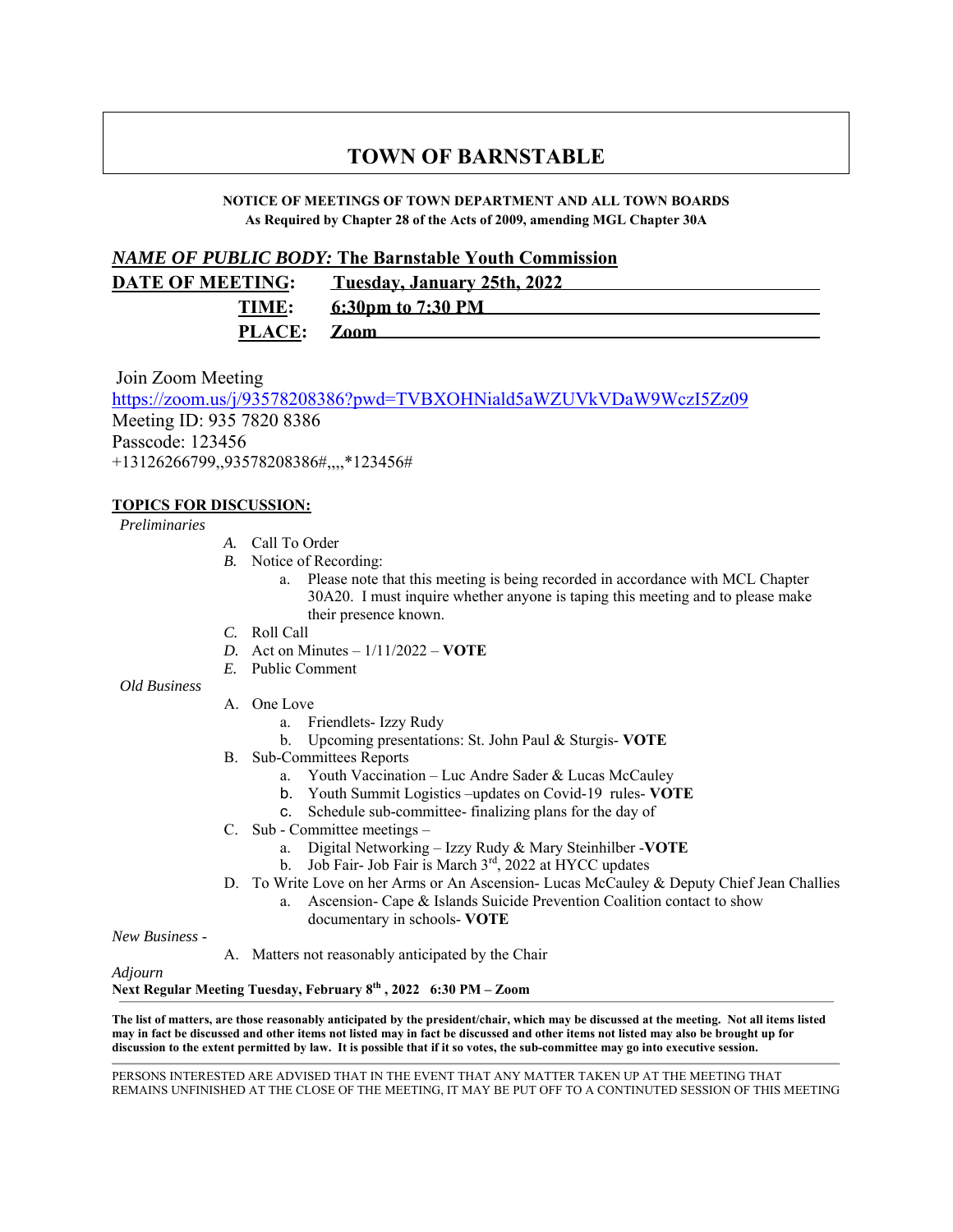# **TOWN OF BARNSTABLE**

### **NOTICE OF MEETINGS OF TOWN DEPARTMENT AND ALL TOWN BOARDS As Required by Chapter 28 of the Acts of 2009, amending MGL Chapter 30A**

## *NAME OF PUBLIC BODY:* **The Barnstable Youth Commission**

| <b>DATE OF MEETING:</b> | <u>Tuesday, January 25th, 2022</u> |
|-------------------------|------------------------------------|
| TIME:                   | 6:30pm to 7:30 PM                  |
| PLACE: Zoom             |                                    |

Join Zoom Meeting https://zoom.us/j/93578208386?pwd=TVBXOHNiald5aWZUVkVDaW9WczI5Zz09 Meeting ID: 935 7820 8386 Passcode: 123456 +13126266799,,93578208386#,,,,\*123456#

# **TOPICS FOR DISCUSSION:**

### *Preliminaries*

- *A.* Call To Order
- *B.* Notice of Recording:
	- a. Please note that this meeting is being recorded in accordance with MCL Chapter 30A20. I must inquire whether anyone is taping this meeting and to please make their presence known.
- *C.* Roll Call
- *D.* Act on Minutes 1/11/2022 **VOTE**
- *E.* Public Comment

*Old Business*

- A. One Love
	- a. Friendlets- Izzy Rudy
	- b. Upcoming presentations: St. John Paul & Sturgis- **VOTE**
- B. Sub-Committees Reports
	- a. Youth Vaccination Luc Andre Sader & Lucas McCauley
	- b. Youth Summit Logistics –updates on Covid-19 rules- **VOTE**
	- c. Schedule sub-committee- finalizing plans for the day of
- C. Sub Committee meetings
	- a. Digital Networking Izzy Rudy & Mary Steinhilber -**VOTE**
	- b. Job Fair- Job Fair is March 3rd, 2022 at HYCC updates
- D. To Write Love on her Arms or An Ascension- Lucas McCauley & Deputy Chief Jean Challies
	- a. Ascension- Cape & Islands Suicide Prevention Coalition contact to show documentary in schools- **VOTE**

*New Business* -

A. Matters not reasonably anticipated by the Chair

*Adjourn*

**Next Regular Meeting Tuesday, February 8th , 2022 6:30 PM – Zoom**

**The list of matters, are those reasonably anticipated by the president/chair, which may be discussed at the meeting. Not all items listed may in fact be discussed and other items not listed may in fact be discussed and other items not listed may also be brought up for discussion to the extent permitted by law. It is possible that if it so votes, the sub-committee may go into executive session.** 

PERSONS INTERESTED ARE ADVISED THAT IN THE EVENT THAT ANY MATTER TAKEN UP AT THE MEETING THAT REMAINS UNFINISHED AT THE CLOSE OF THE MEETING, IT MAY BE PUT OFF TO A CONTINUTED SESSION OF THIS MEETING